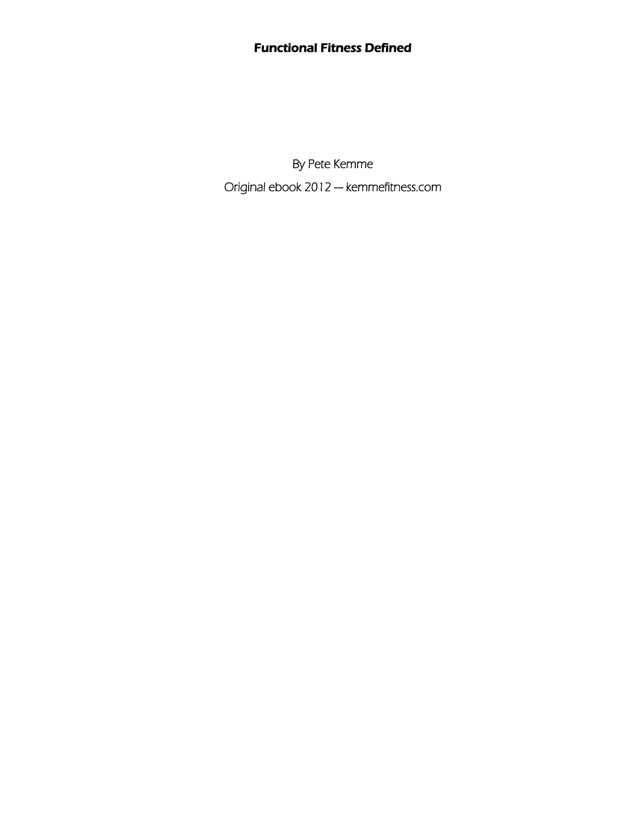#### Functional Fitness Defined

By Pete Kemme Original ebook 2012 — kemmefitness.com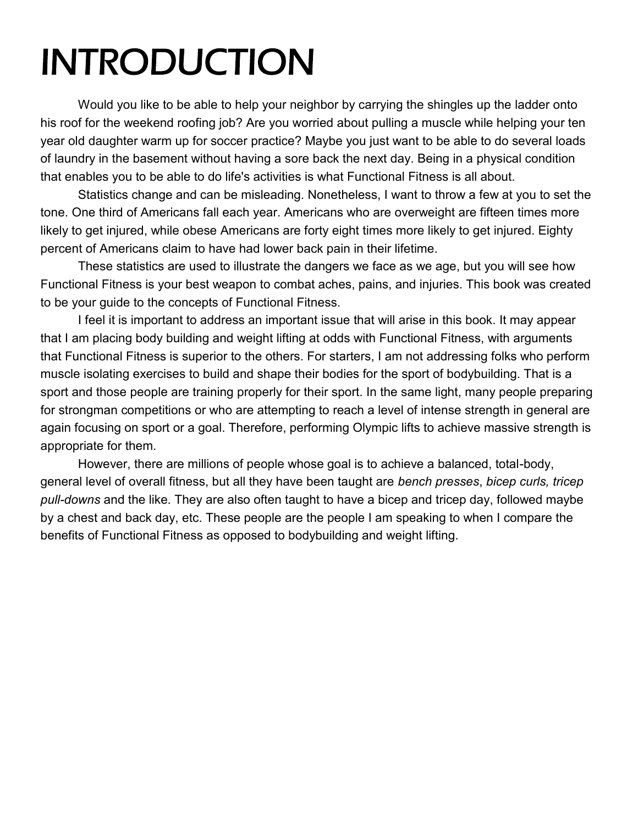# INTRODUCTION

Would you like to be able to help your neighbor by carrying the shingles up the ladder onto his roof for the weekend roofing job? Are you worried about pulling a muscle while helping your ten year old daughter warm up for soccer practice? Maybe you just want to be able to do several loads of laundry in the basement without having a sore back the next day. Being in a physical condition that enables you to be able to do life's activities is what Functional Fitness is all about.

Statistics change and can be misleading. Nonetheless, I want to throw a few at you to set the tone. One third of Americans fall each year. Americans who are overweight are fifteen times more likely to get injured, while obese Americans are forty eight times more likely to get injured. Eighty percent of Americans claim to have had lower back pain in their lifetime.

These statistics are used to illustrate the dangers we face as we age, but you will see how Functional Fitness is your best weapon to combat aches, pains, and injuries. This book was created to be your guide to the concepts of Functional Fitness.

I feel it is important to address an important issue that will arise in this book. It may appear that I am placing body building and weight lifting at odds with Functional Fitness, with arguments that Functional Fitness is superior to the others. For starters, I am not addressing folks who perform muscle isolating exercises to build and shape their bodies for the sport of bodybuilding. That is a sport and those people are training properly for their sport. In the same light, many people preparing for strongman competitions or who are attempting to reach a level of intense strength in general are again focusing on sport or a goal. Therefore, performing Olympic lifts to achieve massive strength is appropriate for them.

However, there are millions of people whose goal is to achieve a balanced, total-body, general level of overall fitness, but all they have been taught are *bench presses*, *bicep curls, tricep pull-downs* and the like. They are also often taught to have a bicep and tricep day, followed maybe by a chest and back day, etc. These people are the people I am speaking to when I compare the benefits of Functional Fitness as opposed to bodybuilding and weight lifting.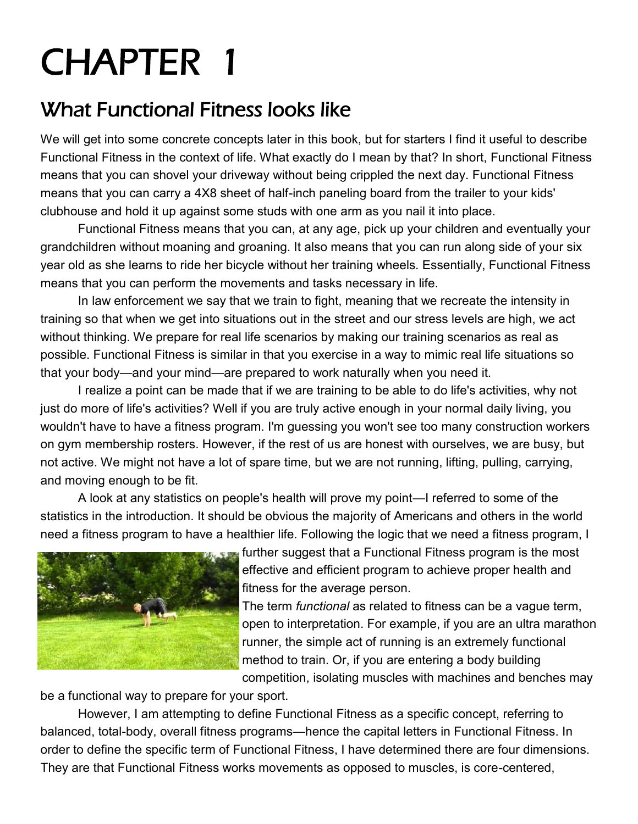### What Functional Fitness looks like

We will get into some concrete concepts later in this book, but for starters I find it useful to describe Functional Fitness in the context of life. What exactly do I mean by that? In short, Functional Fitness means that you can shovel your driveway without being crippled the next day. Functional Fitness means that you can carry a 4X8 sheet of half-inch paneling board from the trailer to your kids' clubhouse and hold it up against some studs with one arm as you nail it into place.

Functional Fitness means that you can, at any age, pick up your children and eventually your grandchildren without moaning and groaning. It also means that you can run along side of your six year old as she learns to ride her bicycle without her training wheels. Essentially, Functional Fitness means that you can perform the movements and tasks necessary in life.

In law enforcement we say that we train to fight, meaning that we recreate the intensity in training so that when we get into situations out in the street and our stress levels are high, we act without thinking. We prepare for real life scenarios by making our training scenarios as real as possible. Functional Fitness is similar in that you exercise in a way to mimic real life situations so that your body—and your mind—are prepared to work naturally when you need it.

I realize a point can be made that if we are training to be able to do life's activities, why not just do more of life's activities? Well if you are truly active enough in your normal daily living, you wouldn't have to have a fitness program. I'm guessing you won't see too many construction workers on gym membership rosters. However, if the rest of us are honest with ourselves, we are busy, but not active. We might not have a lot of spare time, but we are not running, lifting, pulling, carrying, and moving enough to be fit.

A look at any statistics on people's health will prove my point—I referred to some of the statistics in the introduction. It should be obvious the majority of Americans and others in the world need a fitness program to have a healthier life. Following the logic that we need a fitness program, I



further suggest that a Functional Fitness program is the most effective and efficient program to achieve proper health and fitness for the average person.

The term *functional* as related to fitness can be a vague term, open to interpretation. For example, if you are an ultra marathon runner, the simple act of running is an extremely functional method to train. Or, if you are entering a body building competition, isolating muscles with machines and benches may

be a functional way to prepare for your sport.

However, I am attempting to define Functional Fitness as a specific concept, referring to balanced, total-body, overall fitness programs—hence the capital letters in Functional Fitness. In order to define the specific term of Functional Fitness, I have determined there are four dimensions. They are that Functional Fitness works movements as opposed to muscles, is core-centered,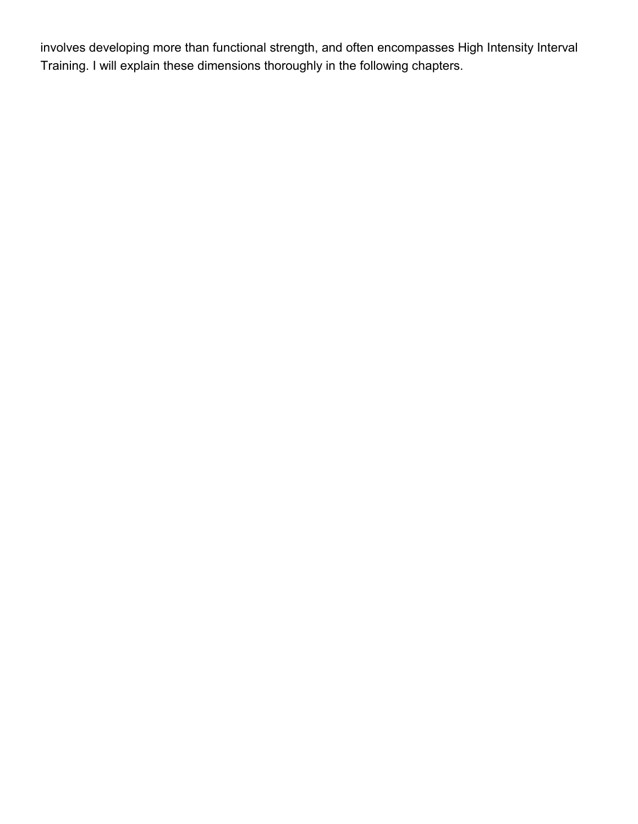involves developing more than functional strength, and often encompasses High Intensity Interval Training. I will explain these dimensions thoroughly in the following chapters.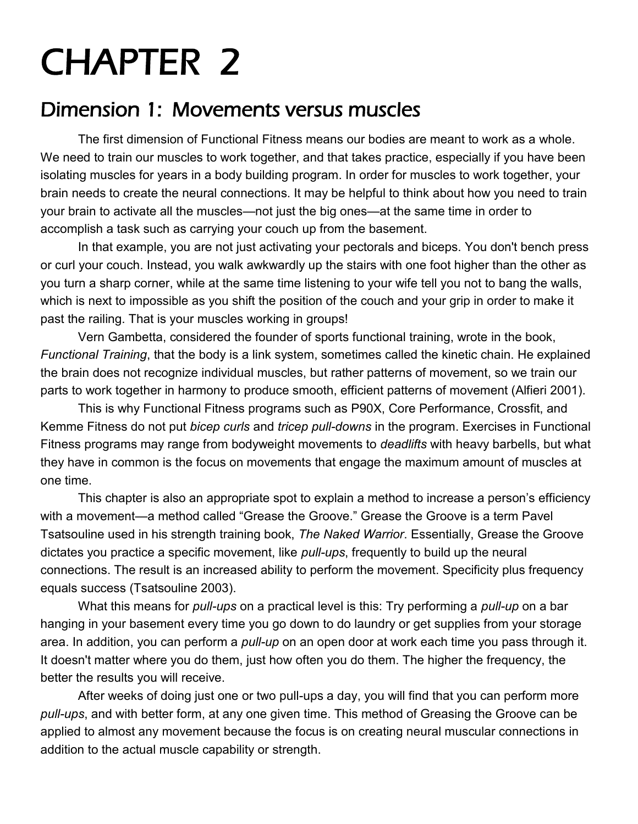#### Dimension 1: Movements versus muscles

The first dimension of Functional Fitness means our bodies are meant to work as a whole. We need to train our muscles to work together, and that takes practice, especially if you have been isolating muscles for years in a body building program. In order for muscles to work together, your brain needs to create the neural connections. It may be helpful to think about how you need to train your brain to activate all the muscles—not just the big ones—at the same time in order to accomplish a task such as carrying your couch up from the basement.

In that example, you are not just activating your pectorals and biceps. You don't bench press or curl your couch. Instead, you walk awkwardly up the stairs with one foot higher than the other as you turn a sharp corner, while at the same time listening to your wife tell you not to bang the walls, which is next to impossible as you shift the position of the couch and your grip in order to make it past the railing. That is your muscles working in groups!

Vern Gambetta, considered the founder of sports functional training, wrote in the book, *Functional Training*, that the body is a link system, sometimes called the kinetic chain. He explained the brain does not recognize individual muscles, but rather patterns of movement, so we train our parts to work together in harmony to produce smooth, efficient patterns of movement (Alfieri 2001).

This is why Functional Fitness programs such as P90X, Core Performance, Crossfit, and Kemme Fitness do not put *bicep curls* and *tricep pull-downs* in the program. Exercises in Functional Fitness programs may range from bodyweight movements to *deadlifts* with heavy barbells, but what they have in common is the focus on movements that engage the maximum amount of muscles at one time.

This chapter is also an appropriate spot to explain a method to increase a person's efficiency with a movement—a method called "Grease the Groove." Grease the Groove is a term Pavel Tsatsouline used in his strength training book, *The Naked Warrior*. Essentially, Grease the Groove dictates you practice a specific movement, like *pull-ups*, frequently to build up the neural connections. The result is an increased ability to perform the movement. Specificity plus frequency equals success (Tsatsouline 2003).

What this means for *pull-ups* on a practical level is this: Try performing a *pull-up* on a bar hanging in your basement every time you go down to do laundry or get supplies from your storage area. In addition, you can perform a *pull-up* on an open door at work each time you pass through it. It doesn't matter where you do them, just how often you do them. The higher the frequency, the better the results you will receive.

After weeks of doing just one or two pull-ups a day, you will find that you can perform more *pull-ups*, and with better form, at any one given time. This method of Greasing the Groove can be applied to almost any movement because the focus is on creating neural muscular connections in addition to the actual muscle capability or strength.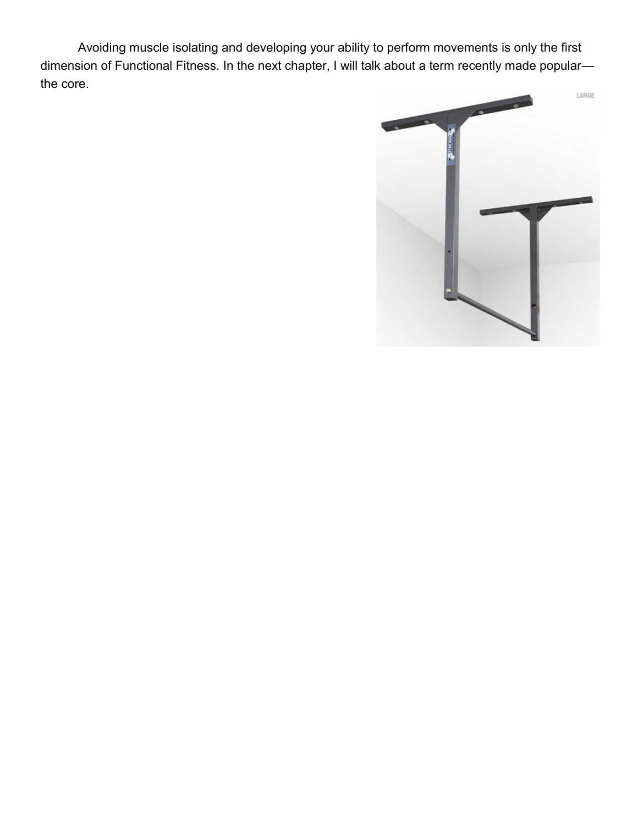Avoiding muscle isolating and developing your ability to perform movements is only the first dimension of Functional Fitness. In the next chapter, I will talk about a term recently made popularthe core.

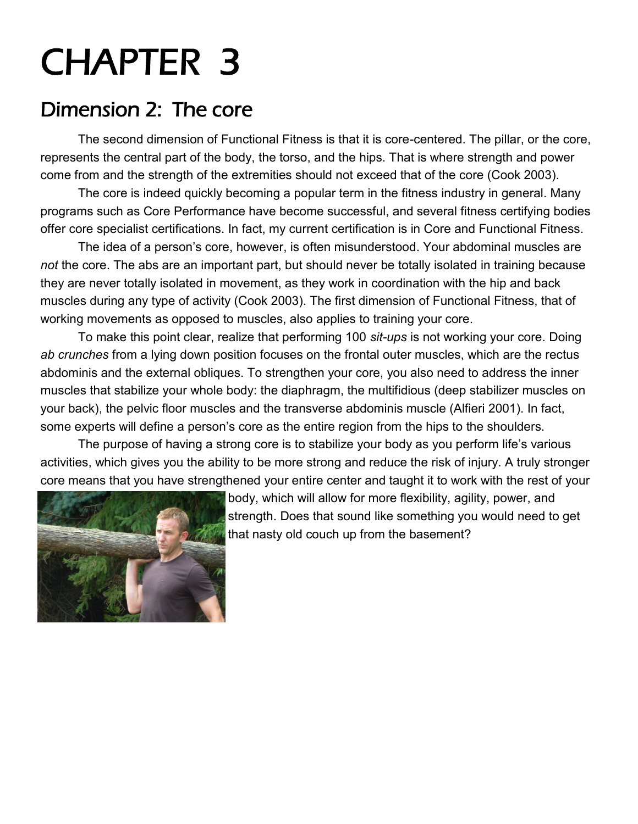#### Dimension 2: The core

The second dimension of Functional Fitness is that it is core-centered. The pillar, or the core, represents the central part of the body, the torso, and the hips. That is where strength and power come from and the strength of the extremities should not exceed that of the core (Cook 2003).

The core is indeed quickly becoming a popular term in the fitness industry in general. Many programs such as Core Performance have become successful, and several fitness certifying bodies offer core specialist certifications. In fact, my current certification is in Core and Functional Fitness.

The idea of a person's core, however, is often misunderstood. Your abdominal muscles are *not* the core. The abs are an important part, but should never be totally isolated in training because they are never totally isolated in movement, as they work in coordination with the hip and back muscles during any type of activity (Cook 2003). The first dimension of Functional Fitness, that of working movements as opposed to muscles, also applies to training your core.

To make this point clear, realize that performing 100 *sit-ups* is not working your core. Doing *ab crunches* from a lying down position focuses on the frontal outer muscles, which are the rectus abdominis and the external obliques. To strengthen your core, you also need to address the inner muscles that stabilize your whole body: the diaphragm, the multifidious (deep stabilizer muscles on your back), the pelvic floor muscles and the transverse abdominis muscle (Alfieri 2001). In fact, some experts will define a person's core as the entire region from the hips to the shoulders.

The purpose of having a strong core is to stabilize your body as you perform life's various activities, which gives you the ability to be more strong and reduce the risk of injury. A truly stronger core means that you have strengthened your entire center and taught it to work with the rest of your



body, which will allow for more flexibility, agility, power, and strength. Does that sound like something you would need to get that nasty old couch up from the basement?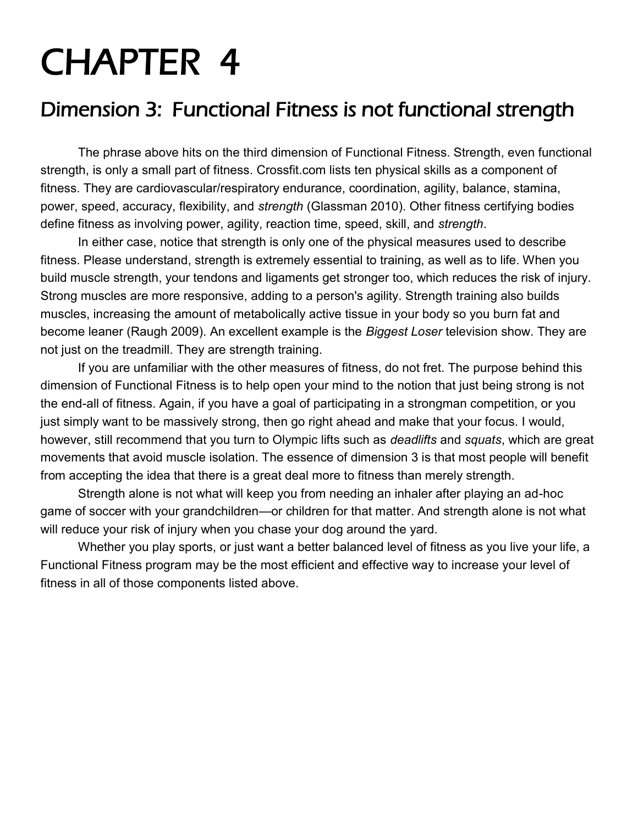#### Dimension 3: Functional Fitness is not functional strength

The phrase above hits on the third dimension of Functional Fitness. Strength, even functional strength, is only a small part of fitness. Crossfit.com lists ten physical skills as a component of fitness. They are cardiovascular/respiratory endurance, coordination, agility, balance, stamina, power, speed, accuracy, flexibility, and *strength* (Glassman 2010). Other fitness certifying bodies define fitness as involving power, agility, reaction time, speed, skill, and *strength*.

In either case, notice that strength is only one of the physical measures used to describe fitness. Please understand, strength is extremely essential to training, as well as to life. When you build muscle strength, your tendons and ligaments get stronger too, which reduces the risk of injury. Strong muscles are more responsive, adding to a person's agility. Strength training also builds muscles, increasing the amount of metabolically active tissue in your body so you burn fat and become leaner (Raugh 2009). An excellent example is the *Biggest Loser* television show. They are not just on the treadmill. They are strength training.

If you are unfamiliar with the other measures of fitness, do not fret. The purpose behind this dimension of Functional Fitness is to help open your mind to the notion that just being strong is not the end-all of fitness. Again, if you have a goal of participating in a strongman competition, or you just simply want to be massively strong, then go right ahead and make that your focus. I would, however, still recommend that you turn to Olympic lifts such as *deadlifts* and *squats*, which are great movements that avoid muscle isolation. The essence of dimension 3 is that most people will benefit from accepting the idea that there is a great deal more to fitness than merely strength.

Strength alone is not what will keep you from needing an inhaler after playing an ad-hoc game of soccer with your grandchildren—or children for that matter. And strength alone is not what will reduce your risk of injury when you chase your dog around the yard.

Whether you play sports, or just want a better balanced level of fitness as you live your life, a Functional Fitness program may be the most efficient and effective way to increase your level of fitness in all of those components listed above.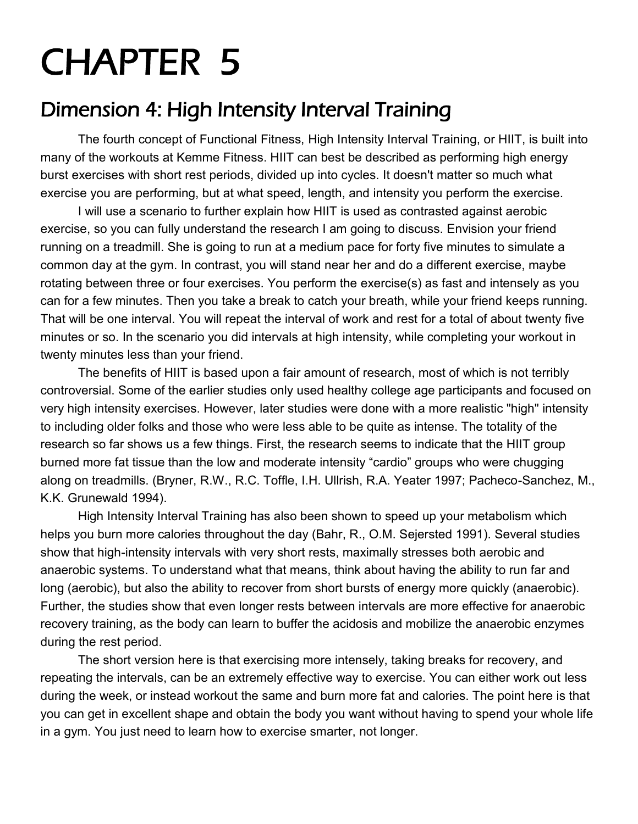### Dimension 4: High Intensity Interval Training

The fourth concept of Functional Fitness, High Intensity Interval Training, or HIIT, is built into many of the workouts at Kemme Fitness. HIIT can best be described as performing high energy burst exercises with short rest periods, divided up into cycles. It doesn't matter so much what exercise you are performing, but at what speed, length, and intensity you perform the exercise.

I will use a scenario to further explain how HIIT is used as contrasted against aerobic exercise, so you can fully understand the research I am going to discuss. Envision your friend running on a treadmill. She is going to run at a medium pace for forty five minutes to simulate a common day at the gym. In contrast, you will stand near her and do a different exercise, maybe rotating between three or four exercises. You perform the exercise(s) as fast and intensely as you can for a few minutes. Then you take a break to catch your breath, while your friend keeps running. That will be one interval. You will repeat the interval of work and rest for a total of about twenty five minutes or so. In the scenario you did intervals at high intensity, while completing your workout in twenty minutes less than your friend.

The benefits of HIIT is based upon a fair amount of research, most of which is not terribly controversial. Some of the earlier studies only used healthy college age participants and focused on very high intensity exercises. However, later studies were done with a more realistic "high" intensity to including older folks and those who were less able to be quite as intense. The totality of the research so far shows us a few things. First, the research seems to indicate that the HIIT group burned more fat tissue than the low and moderate intensity "cardio" groups who were chugging along on treadmills. (Bryner, R.W., R.C. Toffle, I.H. Ullrish, R.A. Yeater 1997; Pacheco-Sanchez, M., K.K. Grunewald 1994).

High Intensity Interval Training has also been shown to speed up your metabolism which helps you burn more calories throughout the day (Bahr, R., O.M. Sejersted 1991). Several studies show that high-intensity intervals with very short rests, maximally stresses both aerobic and anaerobic systems. To understand what that means, think about having the ability to run far and long (aerobic), but also the ability to recover from short bursts of energy more quickly (anaerobic). Further, the studies show that even longer rests between intervals are more effective for anaerobic recovery training, as the body can learn to buffer the acidosis and mobilize the anaerobic enzymes during the rest period.

The short version here is that exercising more intensely, taking breaks for recovery, and repeating the intervals, can be an extremely effective way to exercise. You can either work out less during the week, or instead workout the same and burn more fat and calories. The point here is that you can get in excellent shape and obtain the body you want without having to spend your whole life in a gym. You just need to learn how to exercise smarter, not longer.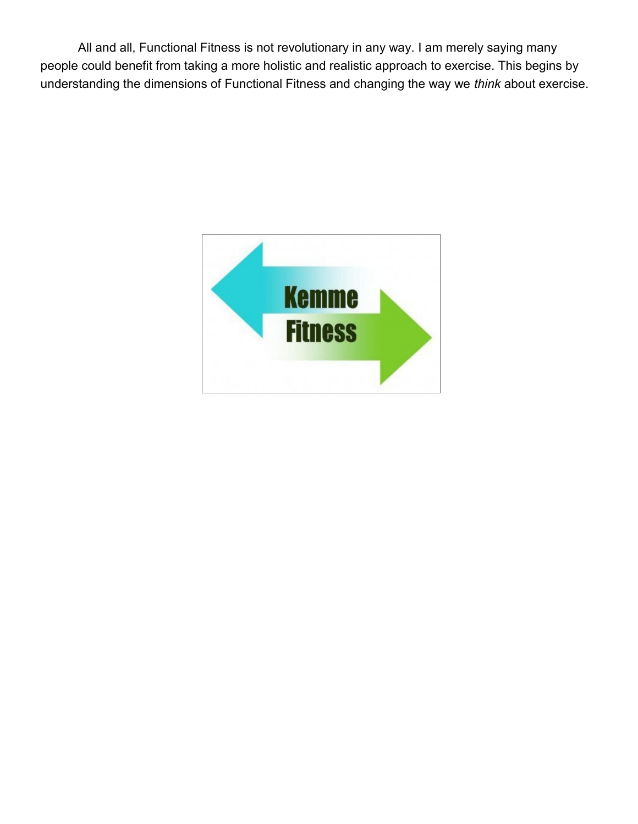All and all, Functional Fitness is not revolutionary in any way. I am merely saying many people could benefit from taking a more holistic and realistic approach to exercise. This begins by understanding the dimensions of Functional Fitness and changing the way we *think* about exercise.

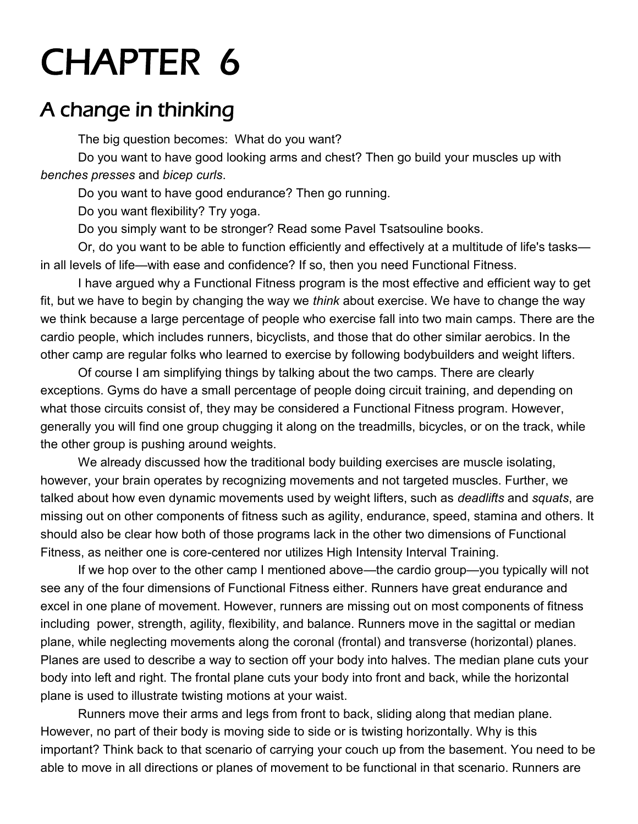#### A change in thinking

The big question becomes: What do you want?

Do you want to have good looking arms and chest? Then go build your muscles up with *benches presses* and *bicep curls*.

Do you want to have good endurance? Then go running.

Do you want flexibility? Try yoga.

Do you simply want to be stronger? Read some Pavel Tsatsouline books.

Or, do you want to be able to function efficiently and effectively at a multitude of life's tasks in all levels of life—with ease and confidence? If so, then you need Functional Fitness.

I have argued why a Functional Fitness program is the most effective and efficient way to get fit, but we have to begin by changing the way we *think* about exercise. We have to change the way we think because a large percentage of people who exercise fall into two main camps. There are the cardio people, which includes runners, bicyclists, and those that do other similar aerobics. In the other camp are regular folks who learned to exercise by following bodybuilders and weight lifters.

Of course I am simplifying things by talking about the two camps. There are clearly exceptions. Gyms do have a small percentage of people doing circuit training, and depending on what those circuits consist of, they may be considered a Functional Fitness program. However, generally you will find one group chugging it along on the treadmills, bicycles, or on the track, while the other group is pushing around weights.

We already discussed how the traditional body building exercises are muscle isolating, however, your brain operates by recognizing movements and not targeted muscles. Further, we talked about how even dynamic movements used by weight lifters, such as *deadlifts* and *squats*, are missing out on other components of fitness such as agility, endurance, speed, stamina and others. It should also be clear how both of those programs lack in the other two dimensions of Functional Fitness, as neither one is core-centered nor utilizes High Intensity Interval Training.

If we hop over to the other camp I mentioned above—the cardio group—you typically will not see any of the four dimensions of Functional Fitness either. Runners have great endurance and excel in one plane of movement. However, runners are missing out on most components of fitness including power, strength, agility, flexibility, and balance. Runners move in the sagittal or median plane, while neglecting movements along the coronal (frontal) and transverse (horizontal) planes. Planes are used to describe a way to section off your body into halves. The median plane cuts your body into left and right. The frontal plane cuts your body into front and back, while the horizontal plane is used to illustrate twisting motions at your waist.

Runners move their arms and legs from front to back, sliding along that median plane. However, no part of their body is moving side to side or is twisting horizontally. Why is this important? Think back to that scenario of carrying your couch up from the basement. You need to be able to move in all directions or planes of movement to be functional in that scenario. Runners are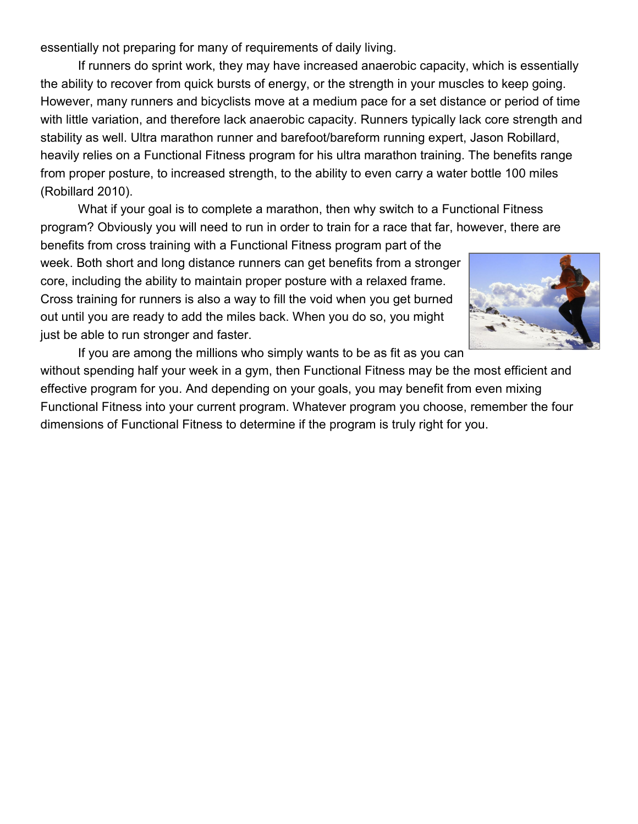essentially not preparing for many of requirements of daily living.

If runners do sprint work, they may have increased anaerobic capacity, which is essentially the ability to recover from quick bursts of energy, or the strength in your muscles to keep going. However, many runners and bicyclists move at a medium pace for a set distance or period of time with little variation, and therefore lack anaerobic capacity. Runners typically lack core strength and stability as well. Ultra marathon runner and barefoot/bareform running expert, Jason Robillard, heavily relies on a Functional Fitness program for his ultra marathon training. The benefits range from proper posture, to increased strength, to the ability to even carry a water bottle 100 miles (Robillard 2010).

What if your goal is to complete a marathon, then why switch to a Functional Fitness program? Obviously you will need to run in order to train for a race that far, however, there are

benefits from cross training with a Functional Fitness program part of the week. Both short and long distance runners can get benefits from a stronger core, including the ability to maintain proper posture with a relaxed frame. Cross training for runners is also a way to fill the void when you get burned out until you are ready to add the miles back. When you do so, you might just be able to run stronger and faster.



If you are among the millions who simply wants to be as fit as you can without spending half your week in a gym, then Functional Fitness may be the most efficient and effective program for you. And depending on your goals, you may benefit from even mixing Functional Fitness into your current program. Whatever program you choose, remember the four dimensions of Functional Fitness to determine if the program is truly right for you.